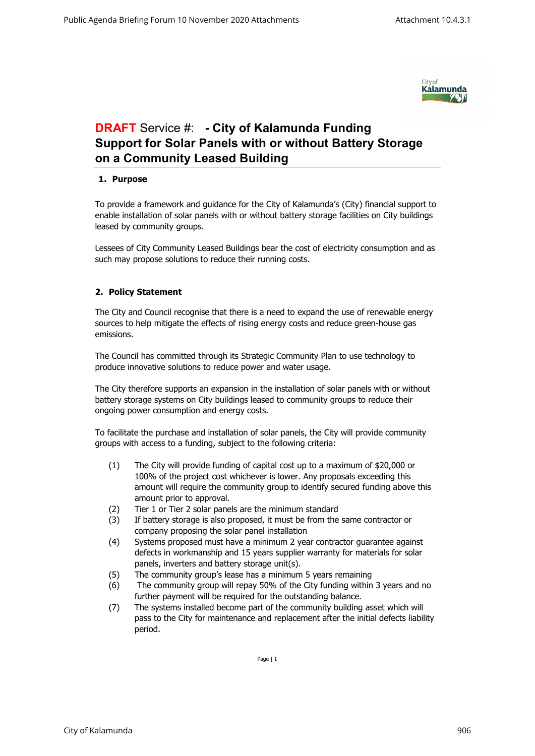

## **DRAFT** Service #: **- City of Kalamunda Funding Support for Solar Panels with or without Battery Storage on a Community Leased Building**

## **1. Purpose**

To provide a framework and guidance for the City of Kalamunda's (City) financial support to enable installation of solar panels with or without battery storage facilities on City buildings leased by community groups.

Lessees of City Community Leased Buildings bear the cost of electricity consumption and as such may propose solutions to reduce their running costs.

## **2. Policy Statement**

The City and Council recognise that there is a need to expand the use of renewable energy sources to help mitigate the effects of rising energy costs and reduce green-house gas emissions.

The Council has committed through its Strategic Community Plan to use technology to produce innovative solutions to reduce power and water usage.

The City therefore supports an expansion in the installation of solar panels with or without battery storage systems on City buildings leased to community groups to reduce their ongoing power consumption and energy costs.

To facilitate the purchase and installation of solar panels, the City will provide community groups with access to a funding, subject to the following criteria:

- (1) The City will provide funding of capital cost up to a maximum of \$20,000 or 100% of the project cost whichever is lower. Any proposals exceeding this amount will require the community group to identify secured funding above this amount prior to approval.
- (2) Tier 1 or Tier 2 solar panels are the minimum standard
- (3) If battery storage is also proposed, it must be from the same contractor or company proposing the solar panel installation
- (4) Systems proposed must have a minimum 2 year contractor guarantee against defects in workmanship and 15 years supplier warranty for materials for solar panels, inverters and battery storage unit(s).
- (5) The community group's lease has a minimum 5 years remaining
- (6) The community group will repay 50% of the City funding within 3 years and no further payment will be required for the outstanding balance.
- (7) The systems installed become part of the community building asset which will pass to the City for maintenance and replacement after the initial defects liability period.

Page | 1